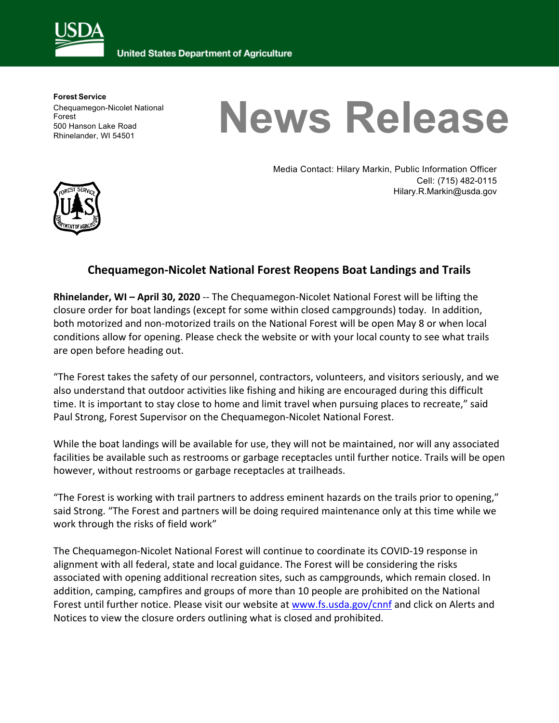

**United States Department of Agriculture** 

**Forest Service** Chequamegon-Nicolet National Forest 500 Hanson Lake Road Rhinelander, WI 54501

## **News Release**



Media Contact: Hilary Markin, Public Information Officer Cell: (715) 482-0115 Hilary.R.Markin@usda.gov

## **Chequamegon-Nicolet National Forest Reopens Boat Landings and Trails**

**Rhinelander, WI – April 30, 2020** -- The Chequamegon-Nicolet National Forest will be lifting the closure order for boat landings (except for some within closed campgrounds) today. In addition, both motorized and non-motorized trails on the National Forest will be open May 8 or when local conditions allow for opening. Please check the website or with your local county to see what trails are open before heading out.

"The Forest takes the safety of our personnel, contractors, volunteers, and visitors seriously, and we also understand that outdoor activities like fishing and hiking are encouraged during this difficult time. It is important to stay close to home and limit travel when pursuing places to recreate," said Paul Strong, Forest Supervisor on the Chequamegon-Nicolet National Forest.

While the boat landings will be available for use, they will not be maintained, nor will any associated facilities be available such as restrooms or garbage receptacles until further notice. Trails will be open however, without restrooms or garbage receptacles at trailheads.

"The Forest is working with trail partners to address eminent hazards on the trails prior to opening," said Strong. "The Forest and partners will be doing required maintenance only at this time while we work through the risks of field work"

The Chequamegon-Nicolet National Forest will continue to coordinate its COVID-19 response in alignment with all federal, state and local guidance. The Forest will be considering the risks associated with opening additional recreation sites, such as campgrounds, which remain closed. In addition, camping, campfires and groups of more than 10 people are prohibited on the National Forest until further notice. Please visit our website at www.fs.usda.gov/cnnf and click on Alerts and Notices to view the closure orders outlining what is closed and prohibited.